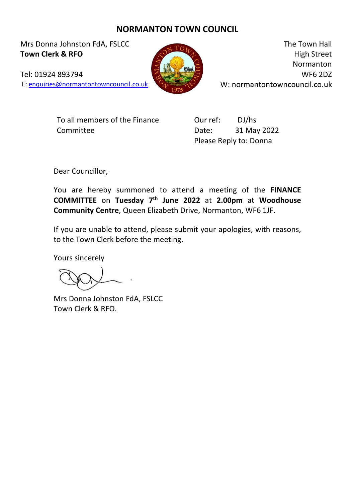## **NORMANTON TOWN COUNCIL**

Mrs Donna Johnston FdA, FSLCC **Town Clerk & RFO**

Tel: 01924 893794

E: [enquiries@normantontowncouncil.co.uk](mailto:enquiries@normantontowncouncil.co.uk)

The Town Hall High Street Normanton WF6 2DZ W: normantontowncouncil.co.uk

To all members of the Finance Committee

Our ref: DJ/hs Date: 31 May 2022 Please Reply to: Donna

Dear Councillor,

You are hereby summoned to attend a meeting of the **FINANCE COMMITTEE** on **Tuesday 7 th June 2022** at **2.00pm** at **Woodhouse Community Centre**, Queen Elizabeth Drive, Normanton, WF6 1JF.

If you are unable to attend, please submit your apologies, with reasons, to the Town Clerk before the meeting.

Yours sincerely

Mrs Donna Johnston FdA, FSLCC Town Clerk & RFO.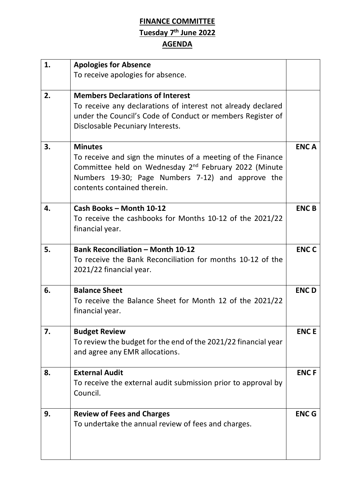## **FINANCE COMMITTEE Tuesday 7 th June 2022 AGENDA**

| 1. | <b>Apologies for Absence</b><br>To receive apologies for absence.                                                                                                                                                                      |              |
|----|----------------------------------------------------------------------------------------------------------------------------------------------------------------------------------------------------------------------------------------|--------------|
| 2. | <b>Members Declarations of Interest</b><br>To receive any declarations of interest not already declared<br>under the Council's Code of Conduct or members Register of<br>Disclosable Pecuniary Interests.                              |              |
| 3. | <b>Minutes</b><br>To receive and sign the minutes of a meeting of the Finance<br>Committee held on Wednesday 2 <sup>nd</sup> February 2022 (Minute<br>Numbers 19-30; Page Numbers 7-12) and approve the<br>contents contained therein. | <b>ENCA</b>  |
| 4. | Cash Books - Month 10-12<br>To receive the cashbooks for Months 10-12 of the 2021/22<br>financial year.                                                                                                                                | <b>ENC B</b> |
| 5. | <b>Bank Reconciliation - Month 10-12</b><br>To receive the Bank Reconciliation for months 10-12 of the<br>2021/22 financial year.                                                                                                      | <b>ENCC</b>  |
| 6. | <b>Balance Sheet</b><br>To receive the Balance Sheet for Month 12 of the 2021/22<br>financial year.                                                                                                                                    | <b>ENCD</b>  |
| 7. | <b>Budget Review</b><br>To review the budget for the end of the 2021/22 financial year<br>and agree any EMR allocations.                                                                                                               | <b>ENCE</b>  |
| 8. | <b>External Audit</b><br>To receive the external audit submission prior to approval by<br>Council.                                                                                                                                     | <b>ENCF</b>  |
| 9. | <b>Review of Fees and Charges</b><br>To undertake the annual review of fees and charges.                                                                                                                                               | <b>ENC G</b> |